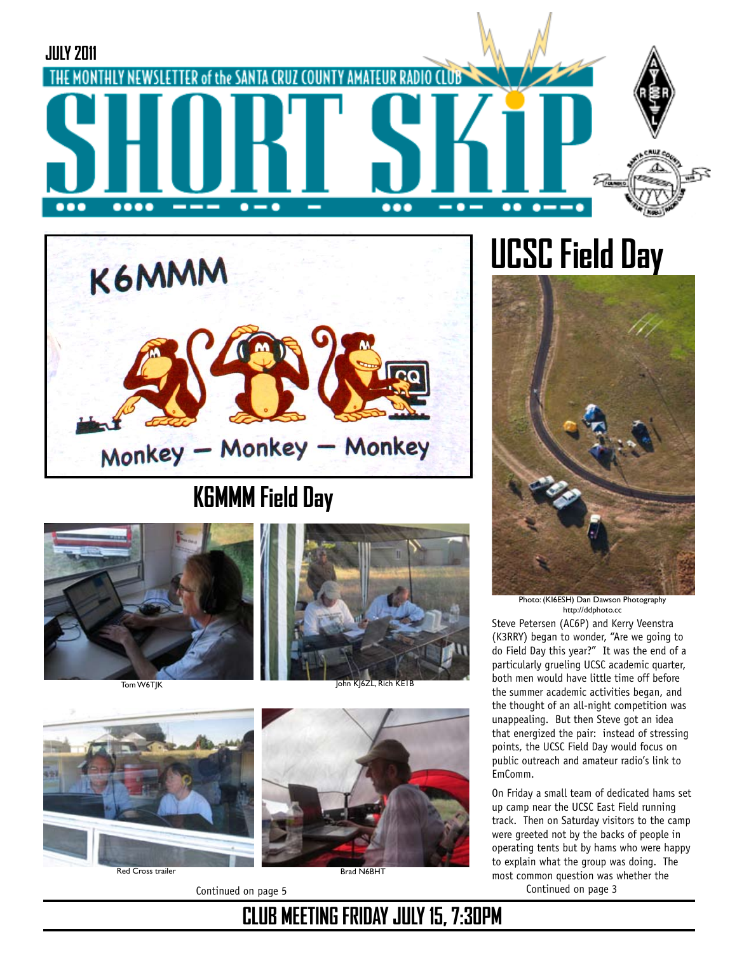



### **K6MMM Field Day**









Red Cross trailer



# **UCSC Field Day**



Photo: (KI6ESH) Dan Dawson Photography http://ddphoto.cc

Steve Petersen (AC6P) and Kerry Veenstra (K3RRY) began to wonder, "Are we going to do Field Day this year?" It was the end of a particularly grueling UCSC academic quarter, both men would have little time off before the summer academic activities began, and the thought of an all-night competition was unappealing. But then Steve got an idea that energized the pair: instead of stressing points, the UCSC Field Day would focus on public outreach and amateur radio's link to EmComm.

Continued on page 5 Continued on page 3 On Friday a small team of dedicated hams set up camp near the UCSC East Field running track. Then on Saturday visitors to the camp were greeted not by the backs of people in operating tents but by hams who were happy to explain what the group was doing. The most common question was whether the

#### **CLUB MEETING FRIDAY JULY 15, 7:30PM**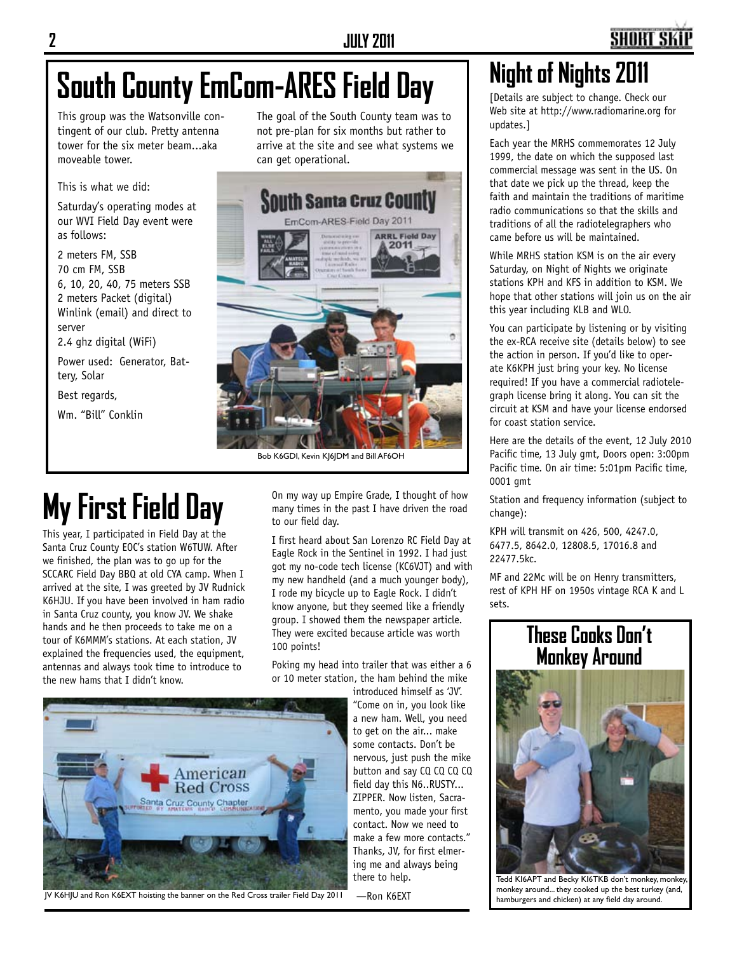## **South County EmCom-ARES Field Day**

This group was the Watsonville contingent of our club. Pretty antenna tower for the six meter beam...aka moveable tower.

This is what we did:

Saturday's operating modes at our WVI Field Day event were as follows:

2 meters FM, SSB 70 cm FM, SSB 6, 10, 20, 40, 75 meters SSB 2 meters Packet (digital) Winlink (email) and direct to server 2.4 ghz digital (WiFi)

Power used: Generator, Battery, Solar

Best regards,

Wm. "Bill" Conklin

The goal of the South County team was to not pre-plan for six months but rather to arrive at the site and see what systems we can get operational.



Bob K6GDI, Kevin KJ6JDM and Bill AF6OH

## **My First Field Day**

This year, I participated in Field Day at the Santa Cruz County EOC's station W6TUW. After we finished, the plan was to go up for the SCCARC Field Day BBQ at old CYA camp. When I arrived at the site, I was greeted by JV Rudnick K6HJU. If you have been involved in ham radio in Santa Cruz county, you know JV. We shake hands and he then proceeds to take me on a tour of K6MMM's stations. At each station, JV explained the frequencies used, the equipment, antennas and always took time to introduce to the new hams that I didn't know.

On my way up Empire Grade, I thought of how many times in the past I have driven the road to our field day.

I first heard about San Lorenzo RC Field Day at Eagle Rock in the Sentinel in 1992. I had just got my no-code tech license (KC6VJT) and with my new handheld (and a much younger body), I rode my bicycle up to Eagle Rock. I didn't know anyone, but they seemed like a friendly group. I showed them the newspaper article. They were excited because article was worth 100 points!

Poking my head into trailer that was either a 6 or 10 meter station, the ham behind the mike

introduced himself as 'JV'. "Come on in, you look like a new ham. Well, you need to get on the air... make some contacts. Don't be nervous, just push the mike button and say CQ CQ CQ CQ field day this N6..RUSTY... ZIPPER. Now listen, Sacramento, you made your first contact. Now we need to make a few more contacts." Thanks, JV, for first elmering me and always being there to help.



JV K6HJU and Ron K6EXT hoisting the banner on the Red Cross trailer Field Day 2011

—Ron K6EXT

### **Night of Nights 2011**

[Details are subject to change. Check our Web site at http://www.radiomarine.org for updates.]

Each year the MRHS commemorates 12 July 1999, the date on which the supposed last commercial message was sent in the US. On that date we pick up the thread, keep the faith and maintain the traditions of maritime radio communications so that the skills and traditions of all the radiotelegraphers who came before us will be maintained.

While MRHS station KSM is on the air every Saturday, on Night of Nights we originate stations KPH and KFS in addition to KSM. We hope that other stations will join us on the air this year including KLB and WLO.

You can participate by listening or by visiting the ex-RCA receive site (details below) to see the action in person. If you'd like to operate K6KPH just bring your key. No license required! If you have a commercial radiotelegraph license bring it along. You can sit the circuit at KSM and have your license endorsed for coast station service.

Here are the details of the event, 12 July 2010 Pacific time, 13 July gmt, Doors open: 3:00pm Pacific time. On air time: 5:01pm Pacific time, 0001 gmt

Station and frequency information (subject to change):

KPH will transmit on 426, 500, 4247.0, 6477.5, 8642.0, 12808.5, 17016.8 and 22477.5kc.

MF and 22Mc will be on Henry transmitters, rest of KPH HF on 1950s vintage RCA K and L sets.

#### **These Cooks Don't Monkey Around**



Tedd KI6APT and Becky KI6TKB don't monkey, monkey, monkey around... they cooked up the best turkey (and, hamburgers and chicken) at any field day around.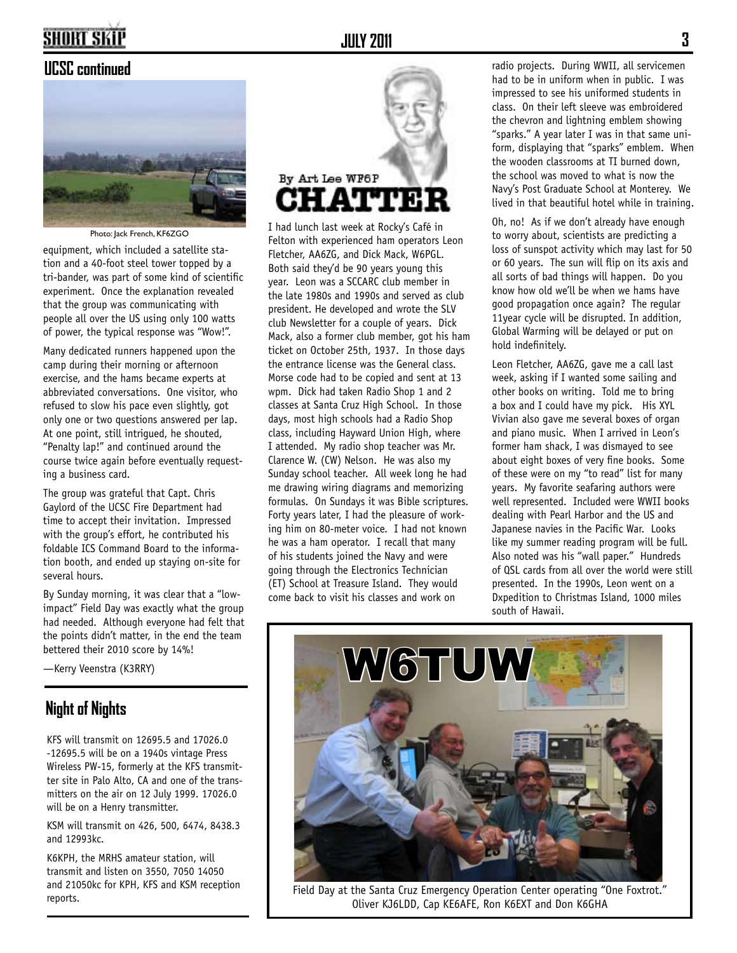#### **UCSC continued**



Photo: Jack French, KF6ZGO

equipment, which included a satellite station and a 40-foot steel tower topped by a tri-bander, was part of some kind of scientific experiment. Once the explanation revealed that the group was communicating with people all over the US using only 100 watts of power, the typical response was "Wow!".

Many dedicated runners happened upon the camp during their morning or afternoon exercise, and the hams became experts at abbreviated conversations. One visitor, who refused to slow his pace even slightly, got only one or two questions answered per lap. At one point, still intrigued, he shouted, "Penalty lap!" and continued around the course twice again before eventually requesting a business card.

The group was grateful that Capt. Chris Gaylord of the UCSC Fire Department had time to accept their invitation. Impressed with the group's effort, he contributed his foldable ICS Command Board to the information booth, and ended up staying on-site for several hours.

By Sunday morning, it was clear that a "lowimpact" Field Day was exactly what the group had needed. Although everyone had felt that the points didn't matter, in the end the team bettered their 2010 score by 14%!

—Kerry Veenstra (K3RRY)

#### **Night of Nights**

KFS will transmit on 12695.5 and 17026.0 -12695.5 will be on a 1940s vintage Press Wireless PW-15, formerly at the KFS transmitter site in Palo Alto, CA and one of the transmitters on the air on 12 July 1999. 17026.0 will be on a Henry transmitter.

KSM will transmit on 426, 500, 6474, 8438.3 and 12993kc.

K6KPH, the MRHS amateur station, will transmit and listen on 3550, 7050 14050 and 21050kc for KPH, KFS and KSM reception reports.



I had lunch last week at Rocky's Café in Felton with experienced ham operators Leon Fletcher, AA6ZG, and Dick Mack, W6PGL. Both said they'd be 90 years young this year. Leon was a SCCARC club member in the late 1980s and 1990s and served as club president. He developed and wrote the SLV club Newsletter for a couple of years. Dick Mack, also a former club member, got his ham ticket on October 25th, 1937. In those days the entrance license was the General class. Morse code had to be copied and sent at 13 wpm. Dick had taken Radio Shop 1 and 2 classes at Santa Cruz High School. In those days, most high schools had a Radio Shop class, including Hayward Union High, where I attended. My radio shop teacher was Mr. Clarence W. (CW) Nelson. He was also my Sunday school teacher. All week long he had me drawing wiring diagrams and memorizing formulas. On Sundays it was Bible scriptures. Forty years later, I had the pleasure of working him on 80-meter voice. I had not known he was a ham operator. I recall that many of his students joined the Navy and were going through the Electronics Technician (ET) School at Treasure Island. They would come back to visit his classes and work on

radio projects. During WWII, all servicemen had to be in uniform when in public. I was impressed to see his uniformed students in class. On their left sleeve was embroidered the chevron and lightning emblem showing "sparks." A year later I was in that same uniform, displaying that "sparks" emblem. When the wooden classrooms at TI burned down, the school was moved to what is now the Navy's Post Graduate School at Monterey. We lived in that beautiful hotel while in training.

Oh, no! As if we don't already have enough to worry about, scientists are predicting a loss of sunspot activity which may last for 50 or 60 years. The sun will flip on its axis and all sorts of bad things will happen. Do you know how old we'll be when we hams have good propagation once again? The regular 11year cycle will be disrupted. In addition, Global Warming will be delayed or put on hold indefinitely.

Leon Fletcher, AA6ZG, gave me a call last week, asking if I wanted some sailing and other books on writing. Told me to bring a box and I could have my pick. His XYL Vivian also gave me several boxes of organ and piano music. When I arrived in Leon's former ham shack, I was dismayed to see about eight boxes of very fine books. Some of these were on my "to read" list for many years. My favorite seafaring authors were well represented. Included were WWII books dealing with Pearl Harbor and the US and Japanese navies in the Pacific War. Looks like my summer reading program will be full. Also noted was his "wall paper." Hundreds of QSL cards from all over the world were still presented. In the 1990s, Leon went on a Dxpedition to Christmas Island, 1000 miles south of Hawaii.



Field Day at the Santa Cruz Emergency Operation Center operating "One Foxtrot." Oliver KJ6LDD, Cap KE6AFE, Ron K6EXT and Don K6GHA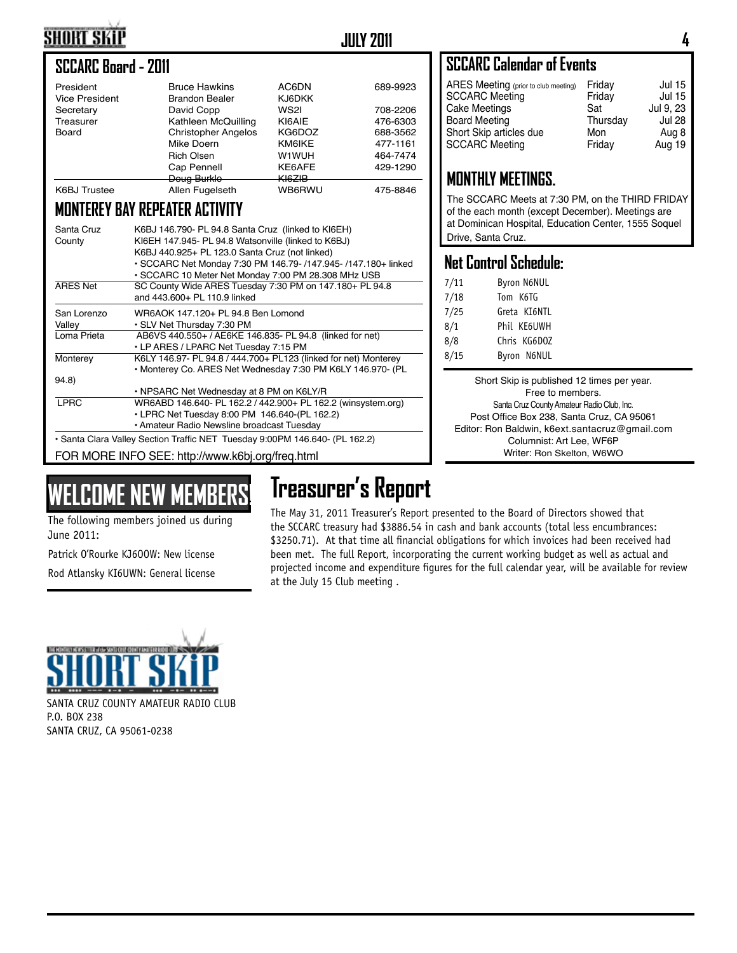### **SHORT SKIP**

#### **JULY 2011 4**

#### **SCCARC Board - 2011**

| President<br><b>Vice President</b> | <b>Bruce Hawkins</b><br><b>Brandon Bealer</b> | AC6DN<br><b>KJ6DKK</b> | 689-9923 |
|------------------------------------|-----------------------------------------------|------------------------|----------|
| Secretary                          | David Copp                                    | WS2I                   | 708-2206 |
| Treasurer                          | Kathleen McQuilling                           | KI6AIE                 | 476-6303 |
| Board                              | <b>Christopher Angelos</b>                    | KG6DOZ                 | 688-3562 |
|                                    | Mike Doern                                    | <b>KM6IKE</b>          | 477-1161 |
|                                    | <b>Rich Olsen</b>                             | W1WUH                  | 464-7474 |
|                                    | Cap Pennell                                   | KE6AFE                 | 429-1290 |
|                                    | Doug Burklo                                   | <del>KI6ZIB</del>      |          |
| <b>K6BJ</b> Trustee                | Allen Fugelseth                               | WB6RWU                 | 475-8846 |

#### **MONTEREY BAY REPEATER ACTIVITY**

| Santa Cruz<br>County                                                        | K6BJ 146.790- PL 94.8 Santa Cruz (linked to KI6EH)<br>KI6EH 147.945- PL 94.8 Watsonville (linked to K6BJ)<br>K6BJ 440.925+ PL 123.0 Santa Cruz (not linked)<br>• SCCARC Net Monday 7:30 PM 146.79- /147.945- /147.180+ linked<br>• SCCARC 10 Meter Net Monday 7:00 PM 28.308 MHz USB |  |
|-----------------------------------------------------------------------------|--------------------------------------------------------------------------------------------------------------------------------------------------------------------------------------------------------------------------------------------------------------------------------------|--|
| <b>ARES Net</b>                                                             | SC County Wide ARES Tuesday 7:30 PM on 147.180+ PL 94.8<br>and 443,600+ PL 110.9 linked                                                                                                                                                                                              |  |
| San Lorenzo<br>Valley                                                       | WR6AOK 147.120+ PL 94.8 Ben Lomond<br>• SLV Net Thursday 7:30 PM                                                                                                                                                                                                                     |  |
| Loma Prieta                                                                 | AB6VS 440.550+ / AE6KE 146.835- PL 94.8 (linked for net)<br>• LP ARES / LPARC Net Tuesday 7:15 PM                                                                                                                                                                                    |  |
| Monterey                                                                    | K6LY 146.97- PL 94.8 / 444.700+ PL123 (linked for net) Monterey<br>• Monterey Co. ARES Net Wednesday 7:30 PM K6LY 146.970- (PL                                                                                                                                                       |  |
| 94.8)                                                                       |                                                                                                                                                                                                                                                                                      |  |
|                                                                             | • NPSARC Net Wednesday at 8 PM on K6LY/R                                                                                                                                                                                                                                             |  |
| <b>LPRC</b>                                                                 | WR6ABD 146.640- PL 162.2 / 442.900+ PL 162.2 (winsystem.org)                                                                                                                                                                                                                         |  |
|                                                                             | • LPRC Net Tuesday 8:00 PM 146.640-(PL 162.2)                                                                                                                                                                                                                                        |  |
|                                                                             | • Amateur Radio Newsline broadcast Tuesday                                                                                                                                                                                                                                           |  |
| • Santa Clara Valley Section Traffic NET Tuesday 9:00PM 146.640- (PL 162.2) |                                                                                                                                                                                                                                                                                      |  |
| FOR MORE INFO SEE: http://www.k6bj.org/freq.html                            |                                                                                                                                                                                                                                                                                      |  |

## **WELCOME NEW MEMBERS!**

The following members joined us during June 2011:

Patrick O'Rourke KJ6OOW: New license

Rod Atlansky KI6UWN: General license



SANTA CRUZ COUNTY AMATEUR RADIO CLUB P.O. BOX 238 SANTA CRUZ, CA 95061-0238

#### **SCCARC Calendar of Events**

| ARES Meeting (prior to club meeting)<br><b>SCCARC Meeting</b> | Friday<br>Friday | <b>Jul 15</b><br><b>Jul 15</b> |
|---------------------------------------------------------------|------------------|--------------------------------|
| Cake Meetings                                                 | Sat              | Jul 9, 23                      |
| Board Meeting                                                 | Thursday         | <b>Jul 28</b>                  |
| Short Skip articles due                                       | Mon              | Aug 8                          |
| <b>SCCARC Meeting</b>                                         | Friday           | Aug 19                         |
|                                                               |                  |                                |

#### **MONTHLY MEETINGS.**

The SCCARC Meets at 7:30 PM, on the THIRD FRIDAY of the each month (except December). Meetings are at Dominican Hospital, Education Center, 1555 Soquel Drive, Santa Cruz.

#### **Net Control Schedule:**

| 7/11 | <b>Byron N6NUL</b> |
|------|--------------------|
| 7/18 | Tom K6TG           |
| 7/25 | Greta KI6NTL       |
| 8/1  | Phil KE6UWH        |
| 8/8  | Chris KG6D0Z       |
| 8/15 | Byron N6NUL        |

Short Skip is published 12 times per year. Free to members. Santa Cruz County Amateur Radio Club, Inc. Post Office Box 238, Santa Cruz, CA 95061 Editor: Ron Baldwin, k6ext.santacruz@gmail.com Columnist: Art Lee, WF6P Writer: Ron Skelton, W6WO

**Treasurer's Report** The May 31, 2011 Treasurer's Report presented to the Board of Directors showed that the SCCARC treasury had \$3886.54 in cash and bank accounts (total less encumbrances: \$3250.71). At that time all financial obligations for which invoices had been received had been met. The full Report, incorporating the current working budget as well as actual and projected income and expenditure figures for the full calendar year, will be available for review at the July 15 Club meeting .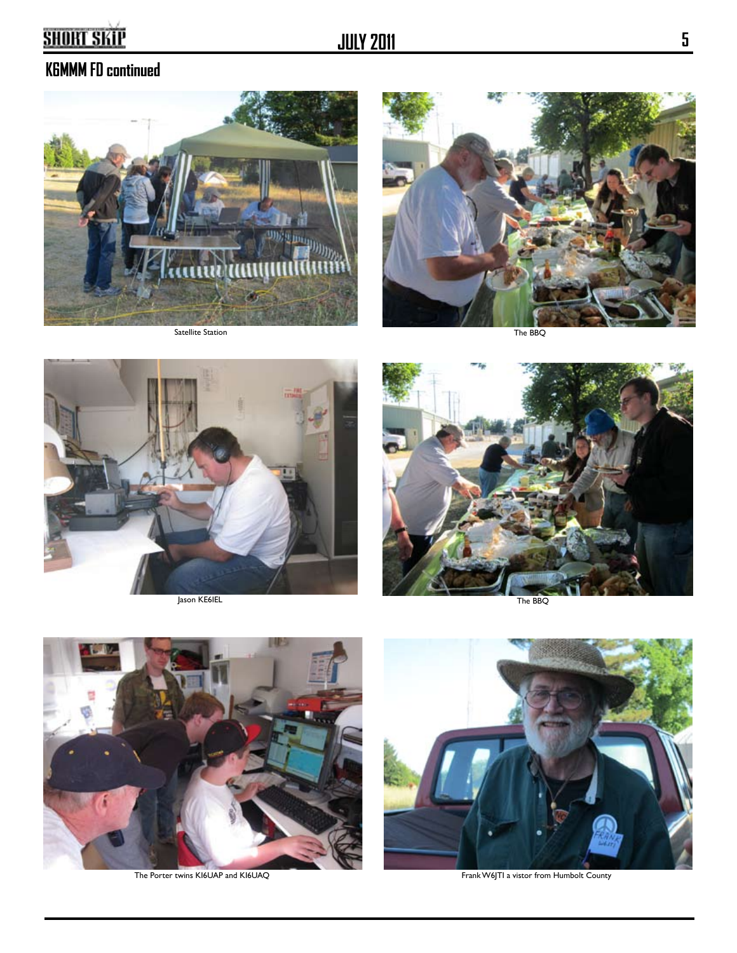#### **K6MMM FD continued**











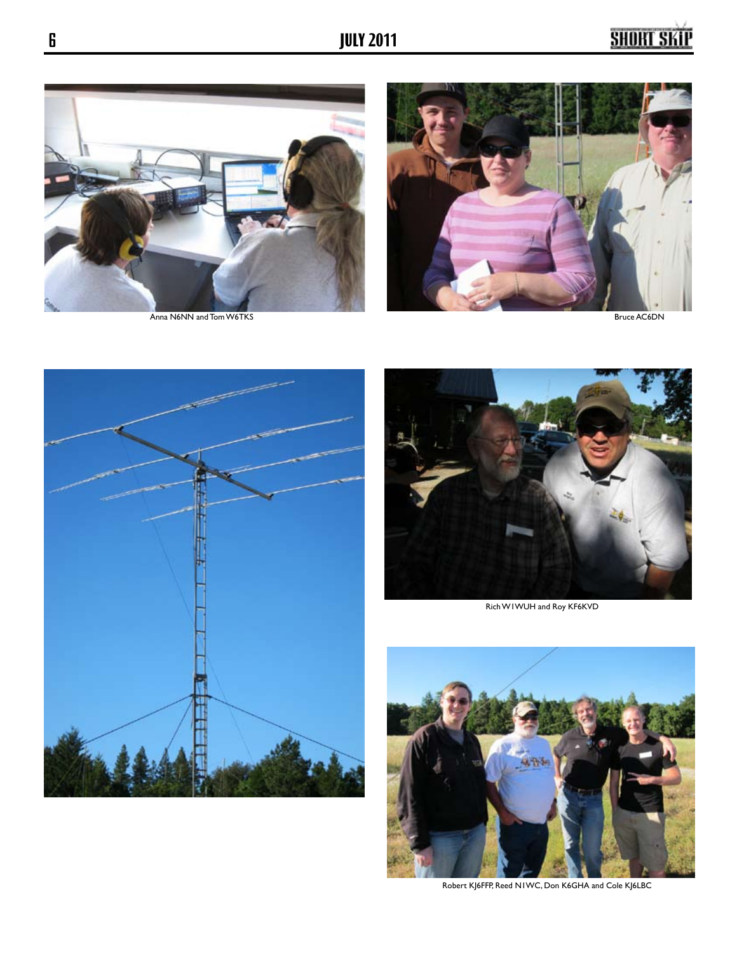







Rich W1WUH and Roy KF6KVD



Robert KJ6FFP, Reed N1WC, Don K6GHA and Cole KJ6LBC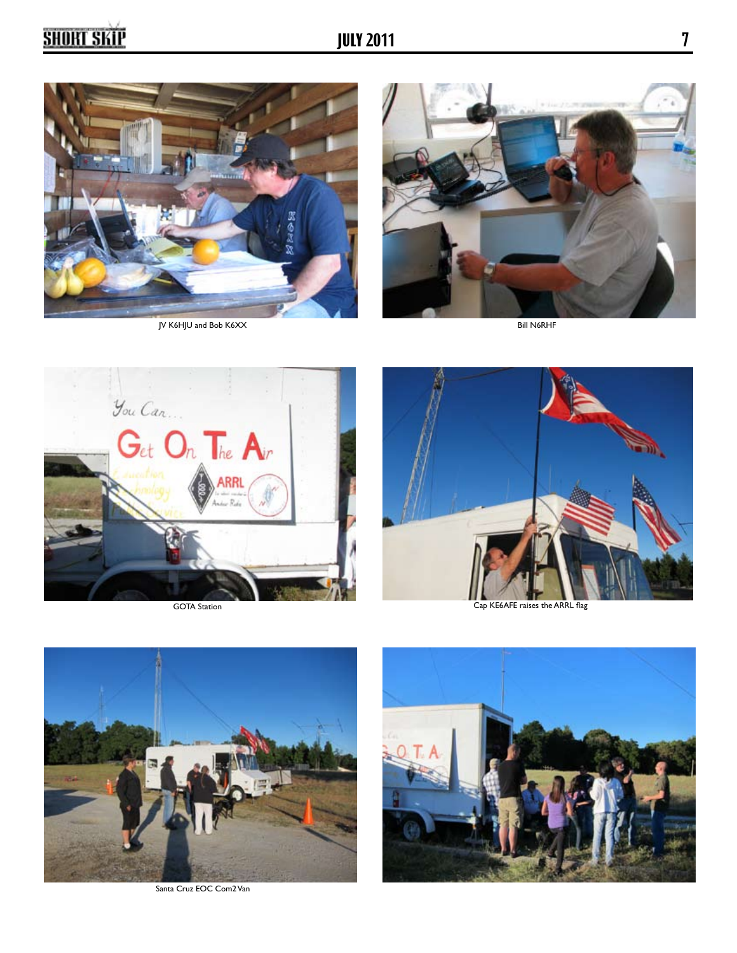





GOTA Station



Cap KE6AFE raises the ARRL flag



Santa Cruz EOC Com2 Van